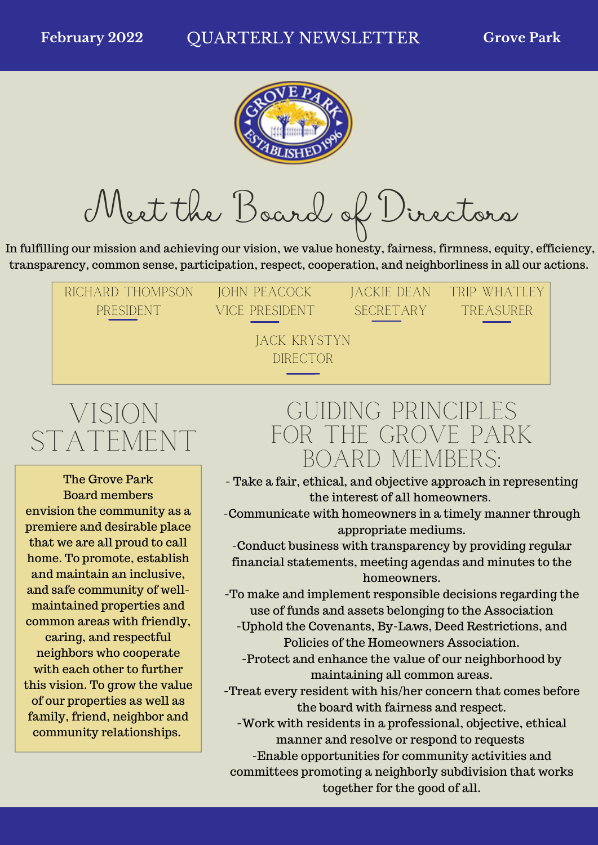

Meet the Board of Directors

In fulfilling our mission and achieving our vision, we value honesty, fairness, firmness, equity, efficiency, transparency, common sense, participation, respect, cooperation, and neighborliness in all our actions.

Richard Thompson PRESIDENT

**JOHN PEACOCK** Vice President JAckie DEaN SECRETARY

TRIP WHATI FY **TREASURER** 

Jack Krystyn **DIRECTOR** 

## Vision STATEMENT

The Grove Park Board members envision the community as a premiere and desirable place that we are all proud to call home. To promote, establish and maintain an inclusive, and safe community of wellmaintained properties and common areas with friendly, caring, and respectful neighbors who cooperate with each other to further this vision. To grow the value of our properties as well as family, friend, neighbor and community relationships.

## Guiding Principles for the Grove Park Board Members:

- Take a fair, ethical, and objective approach in representing the interest of all homeowners.

-Communicate with homeowners in a timely manner through appropriate mediums.

-Conduct business with transparency by providing regular financial statements, meeting agendas and minutes to the homeowners.

-To make and implement responsible decisions regarding the use of funds and assets belonging to the Association

-Uphold the Covenants, By-Laws, Deed Restrictions, and Policies of the Homeowners Association.

-Protect and enhance the value of our neighborhood by maintaining all common areas.

-Treat every resident with his/her concern that comes before the board with fairness and respect.

-Work with residents in a professional, objective, ethical manner and resolve or respond to requests

-Enable opportunities for community activities and committees promoting a neighborly subdivision that works together for the good of all.